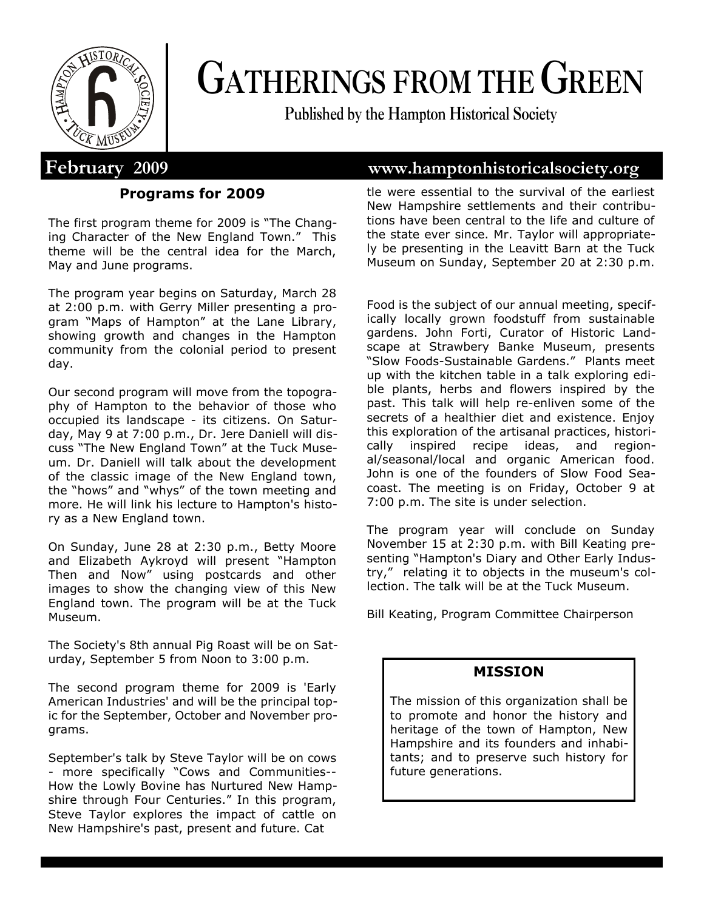

# **GATHERINGS FROM THE GREEN**

**Published by the Hampton Historical Society**

#### **Programs for 2009**

The first program theme for 2009 is "The Changing Character of the New England Town." This theme will be the central idea for the March, May and June programs.

The program year begins on Saturday, March 28 at 2:00 p.m. with Gerry Miller presenting a program "Maps of Hampton" at the Lane Library, showing growth and changes in the Hampton community from the colonial period to present day.

Our second program will move from the topography of Hampton to the behavior of those who occupied its landscape - its citizens. On Saturday, May 9 at 7:00 p.m., Dr. Jere Daniell will discuss "The New England Town" at the Tuck Museum. Dr. Daniell will talk about the development of the classic image of the New England town, the "hows" and "whys" of the town meeting and more. He will link his lecture to Hampton's history as a New England town.

On Sunday, June 28 at 2:30 p.m., Betty Moore and Elizabeth Aykroyd will present "Hampton Then and Now" using postcards and other images to show the changing view of this New England town. The program will be at the Tuck Museum.

The Society's 8th annual Pig Roast will be on Saturday, September 5 from Noon to 3:00 p.m.

The second program theme for 2009 is 'Early American Industries' and will be the principal topic for the September, October and November programs.

September's talk by Steve Taylor will be on cows - more specifically "Cows and Communities-- How the Lowly Bovine has Nurtured New Hampshire through Four Centuries." In this program, Steve Taylor explores the impact of cattle on New Hampshire's past, present and future. Cat

# **February 2009 www.hamptonhistoricalsociety.org**

tle were essential to the survival of the earliest New Hampshire settlements and their contributions have been central to the life and culture of the state ever since. Mr. Taylor will appropriately be presenting in the Leavitt Barn at the Tuck Museum on Sunday, September 20 at 2:30 p.m.

Food is the subject of our annual meeting, specifically locally grown foodstuff from sustainable gardens. John Forti, Curator of Historic Landscape at Strawbery Banke Museum, presents "Slow Foods-Sustainable Gardens." Plants meet up with the kitchen table in a talk exploring edible plants, herbs and flowers inspired by the past. This talk will help re-enliven some of the secrets of a healthier diet and existence. Enjoy this exploration of the artisanal practices, historically inspired recipe ideas, and regional/seasonal/local and organic American food. John is one of the founders of Slow Food Seacoast. The meeting is on Friday, October 9 at 7:00 p.m. The site is under selection.

The program year will conclude on Sunday November 15 at 2:30 p.m. with Bill Keating presenting "Hampton's Diary and Other Early Industry," relating it to objects in the museum's collection. The talk will be at the Tuck Museum.

Bill Keating, Program Committee Chairperson

#### **MISSION**

The mission of this organization shall be to promote and honor the history and heritage of the town of Hampton, New Hampshire and its founders and inhabitants; and to preserve such history for future generations.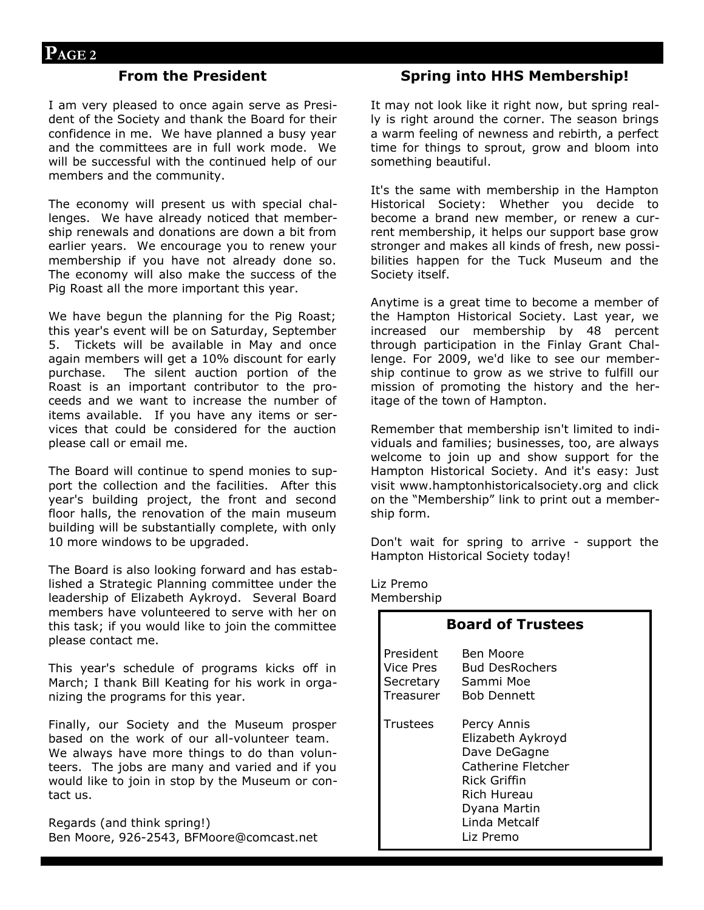#### **From the President**

I am very pleased to once again serve as President of the Society and thank the Board for their confidence in me. We have planned a busy year and the committees are in full work mode. We will be successful with the continued help of our members and the community.

The economy will present us with special challenges. We have already noticed that membership renewals and donations are down a bit from earlier years. We encourage you to renew your membership if you have not already done so. The economy will also make the success of the Pig Roast all the more important this year.

We have begun the planning for the Pig Roast; this year's event will be on Saturday, September 5. Tickets will be available in May and once again members will get a 10% discount for early purchase. The silent auction portion of the Roast is an important contributor to the proceeds and we want to increase the number of items available. If you have any items or services that could be considered for the auction please call or email me.

The Board will continue to spend monies to support the collection and the facilities. After this year's building project, the front and second floor halls, the renovation of the main museum building will be substantially complete, with only 10 more windows to be upgraded.

The Board is also looking forward and has established a Strategic Planning committee under the leadership of Elizabeth Aykroyd. Several Board members have volunteered to serve with her on this task; if you would like to join the committee please contact me.

This year's schedule of programs kicks off in March; I thank Bill Keating for his work in organizing the programs for this year.

Finally, our Society and the Museum prosper based on the work of our all-volunteer team. We always have more things to do than volunteers. The jobs are many and varied and if you would like to join in stop by the Museum or contact us.

Regards (and think spring!) Ben Moore, 926-2543, BFMoore@comcast.net

#### **Spring into HHS Membership!**

It may not look like it right now, but spring really is right around the corner. The season brings a warm feeling of newness and rebirth, a perfect time for things to sprout, grow and bloom into something beautiful.

It's the same with membership in the Hampton Historical Society: Whether you decide to become a brand new member, or renew a current membership, it helps our support base grow stronger and makes all kinds of fresh, new possibilities happen for the Tuck Museum and the Society itself.

Anytime is a great time to become a member of the Hampton Historical Society. Last year, we increased our membership by 48 percent through participation in the Finlay Grant Challenge. For 2009, we'd like to see our membership continue to grow as we strive to fulfill our mission of promoting the history and the heritage of the town of Hampton.

Remember that membership isn't limited to individuals and families; businesses, too, are always welcome to join up and show support for the Hampton Historical Society. And it's easy: Just visit www.hamptonhistoricalsociety.org and click on the "Membership" link to print out a membership form.

Don't wait for spring to arrive - support the Hampton Historical Society today!

Liz Premo Membership

| <b>Board of Trustees</b> |                                                                                                                                                     |
|--------------------------|-----------------------------------------------------------------------------------------------------------------------------------------------------|
| l President<br>Treasurer | <b>Ben Moore</b><br>Vice Pres Bud DesRochers<br>Secretary Sammi Moe<br><b>Bob Dennett</b>                                                           |
| Trustees                 | Percy Annis<br>Elizabeth Aykroyd<br>Dave DeGagne<br>Catherine Fletcher<br>Rick Griffin<br>Rich Hureau<br>Dyana Martin<br>Linda Metcalf<br>Liz Premo |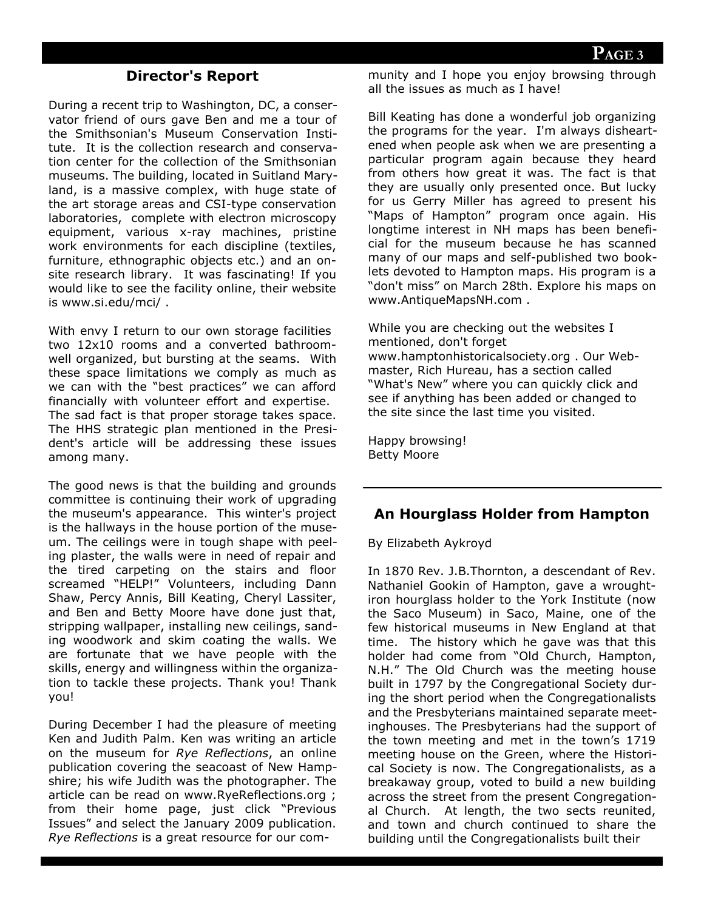#### **Director's Report**

During a recent trip to Washington, DC, a conservator friend of ours gave Ben and me a tour of the Smithsonian's Museum Conservation Institute. It is the collection research and conservation center for the collection of the Smithsonian museums. The building, located in Suitland Maryland, is a massive complex, with huge state of the art storage areas and CSI-type conservation laboratories, complete with electron microscopy equipment, various x-ray machines, pristine work environments for each discipline (textiles, furniture, ethnographic objects etc.) and an onsite research library. It was fascinating! If you would like to see the facility online, their website is www.si.edu/mci/ .

With envy I return to our own storage facilities two 12x10 rooms and a converted bathroomwell organized, but bursting at the seams. With these space limitations we comply as much as we can with the "best practices" we can afford financially with volunteer effort and expertise. The sad fact is that proper storage takes space. The HHS strategic plan mentioned in the President's article will be addressing these issues among many.

The good news is that the building and grounds committee is continuing their work of upgrading the museum's appearance. This winter's project is the hallways in the house portion of the museum. The ceilings were in tough shape with peeling plaster, the walls were in need of repair and the tired carpeting on the stairs and floor screamed "HELP!" Volunteers, including Dann Shaw, Percy Annis, Bill Keating, Cheryl Lassiter, and Ben and Betty Moore have done just that, stripping wallpaper, installing new ceilings, sanding woodwork and skim coating the walls. We are fortunate that we have people with the skills, energy and willingness within the organization to tackle these projects. Thank you! Thank you!

During December I had the pleasure of meeting Ken and Judith Palm. Ken was writing an article on the museum for *Rye Reflections*, an online publication covering the seacoast of New Hampshire; his wife Judith was the photographer. The article can be read on www.RyeReflections.org ; from their home page, just click "Previous Issues" and select the January 2009 publication. *Rye Reflections* is a great resource for our community and I hope you enjoy browsing through all the issues as much as I have!

Bill Keating has done a wonderful job organizing the programs for the year. I'm always disheartened when people ask when we are presenting a particular program again because they heard from others how great it was. The fact is that they are usually only presented once. But lucky for us Gerry Miller has agreed to present his "Maps of Hampton" program once again. His longtime interest in NH maps has been beneficial for the museum because he has scanned many of our maps and self-published two booklets devoted to Hampton maps. His program is a "don't miss" on March 28th. Explore his maps on www.AntiqueMapsNH.com .

While you are checking out the websites I mentioned, don't forget www.hamptonhistoricalsociety.org . Our Webmaster, Rich Hureau, has a section called "What's New" where you can quickly click and see if anything has been added or changed to the site since the last time you visited.

Happy browsing! Betty Moore

#### **An Hourglass Holder from Hampton**

By Elizabeth Aykroyd

In 1870 Rev. J.B.Thornton, a descendant of Rev. Nathaniel Gookin of Hampton, gave a wroughtiron hourglass holder to the York Institute (now the Saco Museum) in Saco, Maine, one of the few historical museums in New England at that time. The history which he gave was that this holder had come from "Old Church, Hampton, N.H." The Old Church was the meeting house built in 1797 by the Congregational Society during the short period when the Congregationalists and the Presbyterians maintained separate meetinghouses. The Presbyterians had the support of the town meeting and met in the town's 1719 meeting house on the Green, where the Historical Society is now. The Congregationalists, as a breakaway group, voted to build a new building across the street from the present Congregational Church. At length, the two sects reunited, and town and church continued to share the building until the Congregationalists built their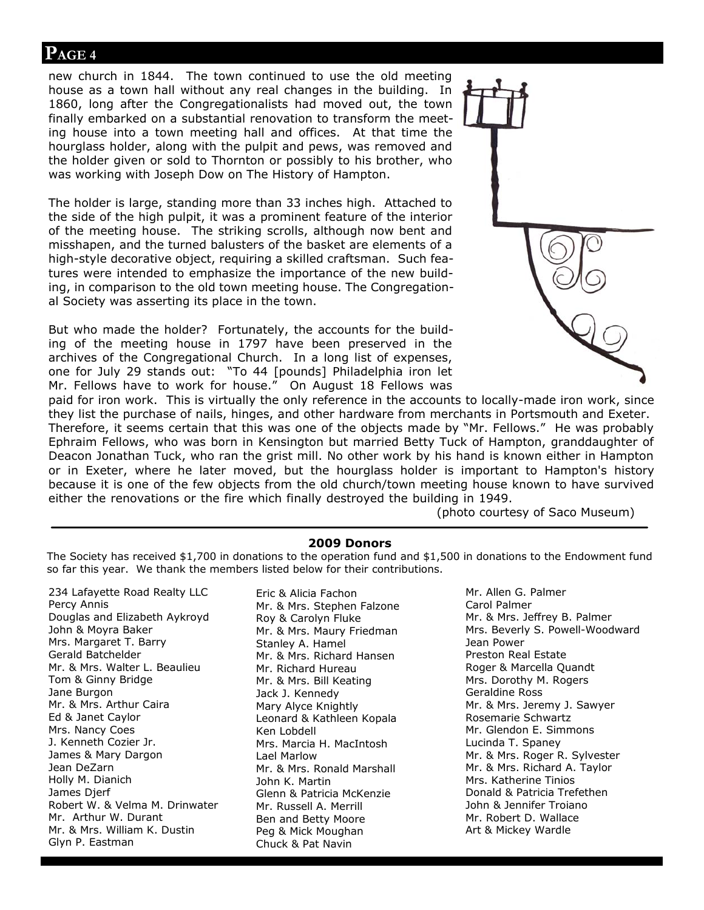#### **PAGE 4**

new church in 1844. The town continued to use the old meeting house as a town hall without any real changes in the building. In 1860, long after the Congregationalists had moved out, the town finally embarked on a substantial renovation to transform the meeting house into a town meeting hall and offices. At that time the hourglass holder, along with the pulpit and pews, was removed and the holder given or sold to Thornton or possibly to his brother, who was working with Joseph Dow on The History of Hampton.

The holder is large, standing more than 33 inches high. Attached to the side of the high pulpit, it was a prominent feature of the interior of the meeting house. The striking scrolls, although now bent and misshapen, and the turned balusters of the basket are elements of a high-style decorative object, requiring a skilled craftsman. Such features were intended to emphasize the importance of the new building, in comparison to the old town meeting house. The Congregational Society was asserting its place in the town.

But who made the holder? Fortunately, the accounts for the building of the meeting house in 1797 have been preserved in the archives of the Congregational Church. In a long list of expenses, one for July 29 stands out: "To 44 [pounds] Philadelphia iron let Mr. Fellows have to work for house." On August 18 Fellows was



paid for iron work. This is virtually the only reference in the accounts to locally-made iron work, since they list the purchase of nails, hinges, and other hardware from merchants in Portsmouth and Exeter. Therefore, it seems certain that this was one of the objects made by "Mr. Fellows." He was probably Ephraim Fellows, who was born in Kensington but married Betty Tuck of Hampton, granddaughter of Deacon Jonathan Tuck, who ran the grist mill. No other work by his hand is known either in Hampton or in Exeter, where he later moved, but the hourglass holder is important to Hampton's history because it is one of the few objects from the old church/town meeting house known to have survived either the renovations or the fire which finally destroyed the building in 1949.

(photo courtesy of Saco Museum)

#### **2009 Donors**

The Society has received \$1,700 in donations to the operation fund and \$1,500 in donations to the Endowment fund so far this year. We thank the members listed below for their contributions.

234 Lafayette Road Realty LLC Percy Annis Douglas and Elizabeth Aykroyd John & Moyra Baker Mrs. Margaret T. Barry Gerald Batchelder Mr. & Mrs. Walter L. Beaulieu Tom & Ginny Bridge Jane Burgon Mr. & Mrs. Arthur Caira Ed & Janet Caylor Mrs. Nancy Coes J. Kenneth Cozier Jr. James & Mary Dargon Jean DeZarn Holly M. Dianich James Djerf Robert W. & Velma M. Drinwater Mr. Arthur W. Durant Mr. & Mrs. William K. Dustin Glyn P. Eastman

Eric & Alicia Fachon Mr. & Mrs. Stephen Falzone Roy & Carolyn Fluke Mr. & Mrs. Maury Friedman Stanley A. Hamel Mr. & Mrs. Richard Hansen Mr. Richard Hureau Mr. & Mrs. Bill Keating Jack J. Kennedy Mary Alyce Knightly Leonard & Kathleen Kopala Ken Lobdell Mrs. Marcia H. MacIntosh Lael Marlow Mr. & Mrs. Ronald Marshall John K. Martin Glenn & Patricia McKenzie Mr. Russell A. Merrill Ben and Betty Moore Peg & Mick Moughan Chuck & Pat Navin

Mr. Allen G. Palmer Carol Palmer Mr. & Mrs. Jeffrey B. Palmer Mrs. Beverly S. Powell-Woodward Jean Power Preston Real Estate Roger & Marcella Quandt Mrs. Dorothy M. Rogers Geraldine Ross Mr. & Mrs. Jeremy J. Sawyer Rosemarie Schwartz Mr. Glendon E. Simmons Lucinda T. Spaney Mr. & Mrs. Roger R. Sylvester Mr. & Mrs. Richard A. Taylor Mrs. Katherine Tinios Donald & Patricia Trefethen John & Jennifer Troiano Mr. Robert D. Wallace Art & Mickey Wardle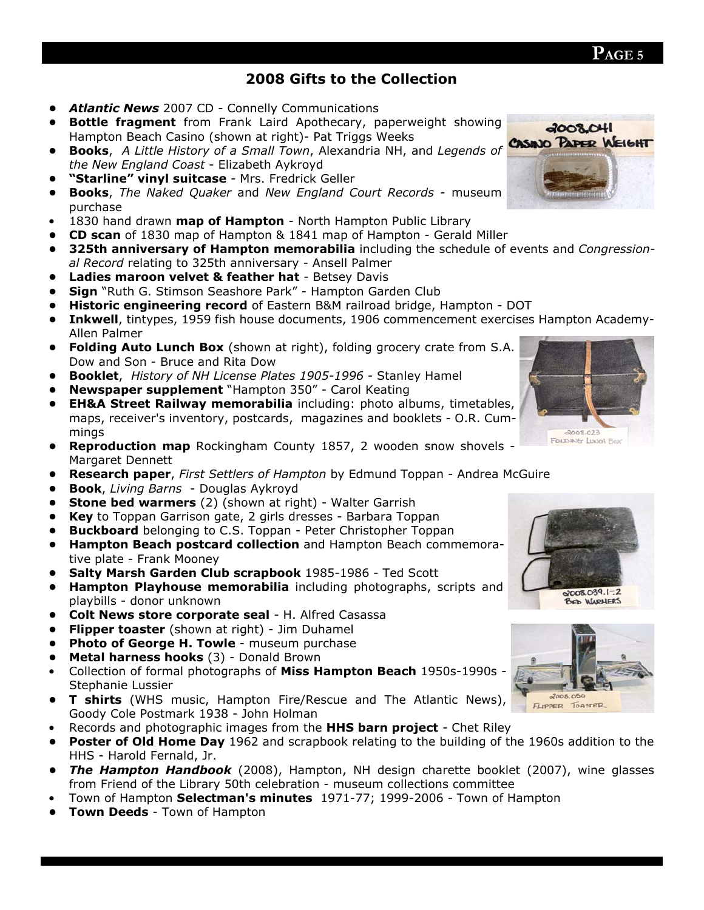## **2008 Gifts to the Collection**

- *Atlantic News* 2007 CD Connelly Communications
- **Bottle fragment** from Frank Laird Apothecary, paperweight showing Hampton Beach Casino (shown at right)- Pat Triggs Weeks
- **Books**, *A Little History of a Small Town*, Alexandria NH, and *Legends of the New England Coast* - Elizabeth Aykroyd
- **"Starline" vinyl suitcase** Mrs. Fredrick Geller
- **Books**, *The Naked Quaker* and *New England Court Records*  museum purchase
- 1830 hand drawn **map of Hampton** North Hampton Public Library
- **CD scan** of 1830 map of Hampton & 1841 map of Hampton Gerald Miller
- **325th anniversary of Hampton memorabilia** including the schedule of events and *Congressional Record* relating to 325th anniversary - Ansell Palmer
- **Ladies maroon velvet & feather hat** Betsey Davis
- **Sign** "Ruth G. Stimson Seashore Park" Hampton Garden Club
- **Historic engineering record** of Eastern B&M railroad bridge, Hampton DOT
- **Inkwell**, tintypes, 1959 fish house documents, 1906 commencement exercises Hampton Academy-Allen Palmer
- **Folding Auto Lunch Box** (shown at right), folding grocery crate from S.A. Dow and Son - Bruce and Rita Dow
- **Booklet**, *History of NH License Plates 1905-1996 -* Stanley Hamel
- **Newspaper supplement** "Hampton 350" Carol Keating
- **EH&A Street Railway memorabilia** including: photo albums, timetables, maps, receiver's inventory, postcards, magazines and booklets - O.R. Cummings
- **Reproduction map** Rockingham County 1857, 2 wooden snow shovels Margaret Dennett
- **Research paper**, *First Settlers of Hampton* by Edmund Toppan Andrea McGuire
- **Book**, *Living Barns*  Douglas Aykroyd
- **Stone bed warmers** (2) (shown at right) Walter Garrish
- **Key** to Toppan Garrison gate, 2 girls dresses Barbara Toppan
- **Buckboard** belonging to C.S. Toppan Peter Christopher Toppan
- **Hampton Beach postcard collection** and Hampton Beach commemorative plate - Frank Mooney
- **Salty Marsh Garden Club scrapbook** 1985-1986 Ted Scott
- **Hampton Playhouse memorabilia** including photographs, scripts and playbills - donor unknown
- **Colt News store corporate seal** H. Alfred Casassa
- **Flipper toaster** (shown at right) Jim Duhamel
- **Photo of George H. Towle** museum purchase
- **Metal harness hooks** (3) Donald Brown
- Collection of formal photographs of **Miss Hampton Beach** 1950s-1990s Stephanie Lussier
- **T shirts** (WHS music, Hampton Fire/Rescue and The Atlantic News), Goody Cole Postmark 1938 - John Holman
- Records and photographic images from the **HHS barn project** Chet Riley
- **Poster of Old Home Day** 1962 and scrapbook relating to the building of the 1960s addition to the HHS - Harold Fernald, Jr.
- *The Hampton Handbook* (2008), Hampton, NH design charette booklet (2007), wine glasses from Friend of the Library 50th celebration - museum collections committee
- Town of Hampton **Selectman's minutes** 1971-77; 1999-2006 Town of Hampton
- **Town Deeds** Town of Hampton



 $4008,041$ **CASINO PAPER WEIGHT**